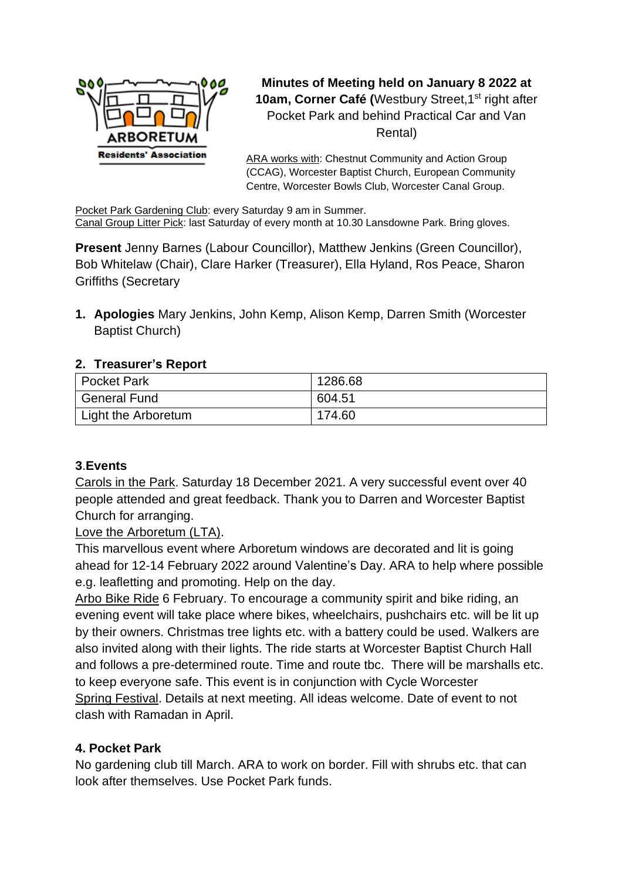

**Minutes of Meeting held on January 8 2022 at 10am, Corner Café (Westbury Street, 1<sup>st</sup> right after** Pocket Park and behind Practical Car and Van Rental)

ARA works with: Chestnut Community and Action Group (CCAG), Worcester Baptist Church, European Community Centre, Worcester Bowls Club, Worcester Canal Group.

Pocket Park Gardening Club: every Saturday 9 am in Summer. Canal Group Litter Pick: last Saturday of every month at 10.30 Lansdowne Park. Bring gloves.

**Present** Jenny Barnes (Labour Councillor), Matthew Jenkins (Green Councillor), Bob Whitelaw (Chair), Clare Harker (Treasurer), Ella Hyland, Ros Peace, Sharon Griffiths (Secretary

**1. Apologies** Mary Jenkins, John Kemp, Alison Kemp, Darren Smith (Worcester Baptist Church)

### **2. Treasurer's Report**

| Pocket Park               | 1286.68 |
|---------------------------|---------|
| <sup>I</sup> General Fund | 604.51  |
| Light the Arboretum       | 174.60  |

## **3**.**Events**

Carols in the Park. Saturday 18 December 2021. A very successful event over 40 people attended and great feedback. Thank you to Darren and Worcester Baptist Church for arranging.

#### Love the Arboretum (LTA).

This marvellous event where Arboretum windows are decorated and lit is going ahead for 12-14 February 2022 around Valentine's Day. ARA to help where possible e.g. leafletting and promoting. Help on the day.

Arbo Bike Ride 6 February. To encourage a community spirit and bike riding, an evening event will take place where bikes, wheelchairs, pushchairs etc. will be lit up by their owners. Christmas tree lights etc. with a battery could be used. Walkers are also invited along with their lights. The ride starts at Worcester Baptist Church Hall and follows a pre-determined route. Time and route tbc. There will be marshalls etc. to keep everyone safe. This event is in conjunction with Cycle Worcester Spring Festival. Details at next meeting. All ideas welcome. Date of event to not clash with Ramadan in April.

#### **4. Pocket Park**

No gardening club till March. ARA to work on border. Fill with shrubs etc. that can look after themselves. Use Pocket Park funds.